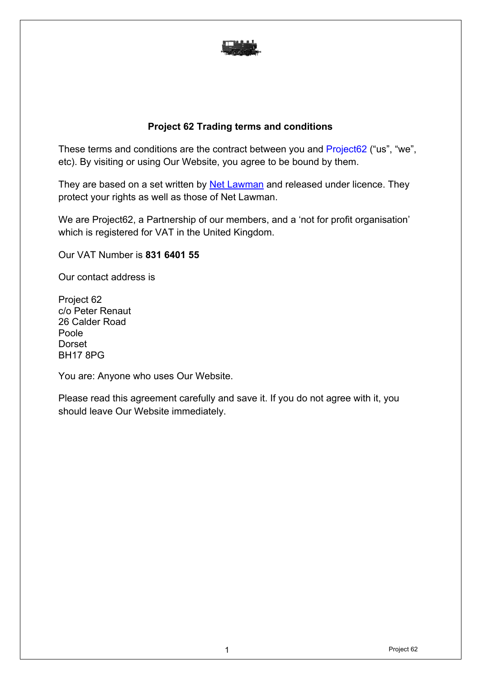

#### **Project 62 Trading terms and conditions**

These terms and conditions are the contract between you and Project 62 ("us", "we", etc). By visiting or using Our Website, you agree to be bound by them.

They are based on a set written by Net Lawman and released under licence. They protect your rights as well as those of Net Lawman.

We are Project62, a Partnership of our members, and a 'not for profit organisation' which is registered for VAT in the United Kingdom.

Our VAT Number is **831 6401 55**

Our contact address is

Project 62 c/o Peter Renaut 26 Calder Road Poole Dorset BH17 8PG

You are: Anyone who uses Our Website.

Please read this agreement carefully and save it. If you do not agree with it, you should leave Our Website immediately.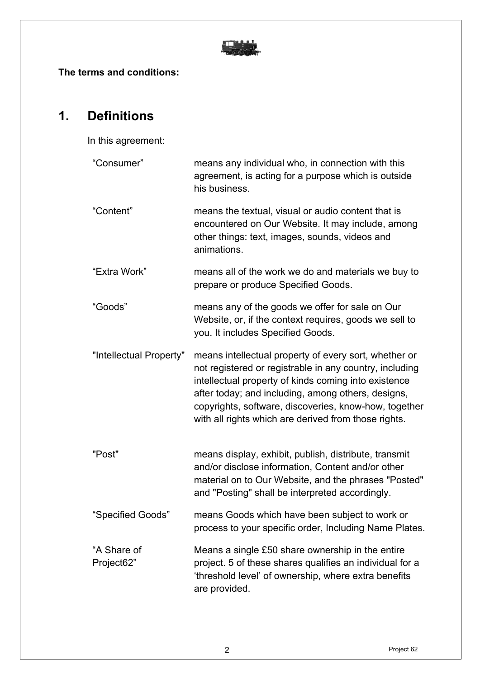

**The terms and conditions:**

## **1. Definitions**

In this agreement:

| "Consumer"                | means any individual who, in connection with this<br>agreement, is acting for a purpose which is outside<br>his business.                                                                                                                                                                                                                       |
|---------------------------|-------------------------------------------------------------------------------------------------------------------------------------------------------------------------------------------------------------------------------------------------------------------------------------------------------------------------------------------------|
| "Content"                 | means the textual, visual or audio content that is<br>encountered on Our Website. It may include, among<br>other things: text, images, sounds, videos and<br>animations.                                                                                                                                                                        |
| "Extra Work"              | means all of the work we do and materials we buy to<br>prepare or produce Specified Goods.                                                                                                                                                                                                                                                      |
| "Goods"                   | means any of the goods we offer for sale on Our<br>Website, or, if the context requires, goods we sell to<br>you. It includes Specified Goods.                                                                                                                                                                                                  |
| "Intellectual Property"   | means intellectual property of every sort, whether or<br>not registered or registrable in any country, including<br>intellectual property of kinds coming into existence<br>after today; and including, among others, designs,<br>copyrights, software, discoveries, know-how, together<br>with all rights which are derived from those rights. |
| "Post"                    | means display, exhibit, publish, distribute, transmit<br>and/or disclose information, Content and/or other<br>material on to Our Website, and the phrases "Posted"<br>and "Posting" shall be interpreted accordingly.                                                                                                                           |
| "Specified Goods"         | means Goods which have been subject to work or<br>process to your specific order, Including Name Plates.                                                                                                                                                                                                                                        |
| "A Share of<br>Project62" | Means a single £50 share ownership in the entire<br>project. 5 of these shares qualifies an individual for a<br>'threshold level' of ownership, where extra benefits<br>are provided.                                                                                                                                                           |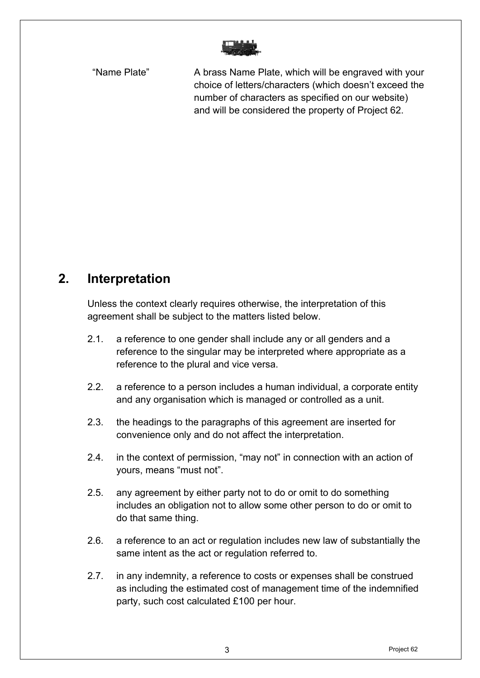"Name Plate" A brass Name Plate, which will be engraved with your choice of letters/characters (which doesn't exceed the number of characters as specified on our website) and will be considered the property of Project 62.

## **2. Interpretation**

Unless the context clearly requires otherwise, the interpretation of this agreement shall be subject to the matters listed below.

- 2.1. a reference to one gender shall include any or all genders and a reference to the singular may be interpreted where appropriate as a reference to the plural and vice versa.
- 2.2. a reference to a person includes a human individual, a corporate entity and any organisation which is managed or controlled as a unit.
- 2.3. the headings to the paragraphs of this agreement are inserted for convenience only and do not affect the interpretation.
- 2.4. in the context of permission, "may not" in connection with an action of yours, means "must not".
- 2.5. any agreement by either party not to do or omit to do something includes an obligation not to allow some other person to do or omit to do that same thing.
- 2.6. a reference to an act or regulation includes new law of substantially the same intent as the act or regulation referred to.
- 2.7. in any indemnity, a reference to costs or expenses shall be construed as including the estimated cost of management time of the indemnified party, such cost calculated £100 per hour.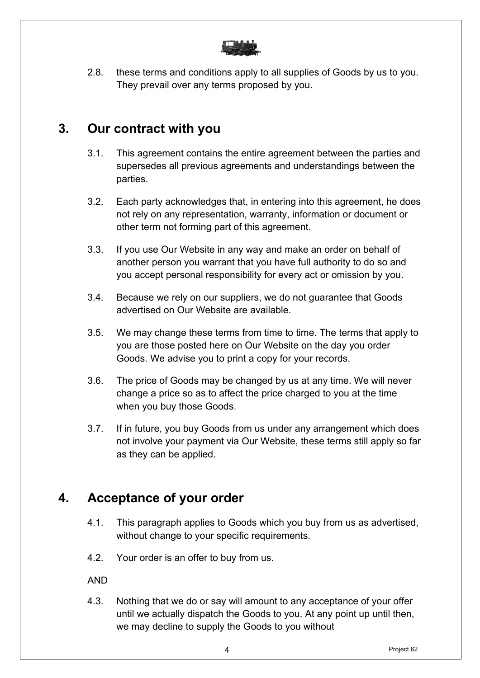

2.8. these terms and conditions apply to all supplies of Goods by us to you. They prevail over any terms proposed by you.

#### **3. Our contract with you**

- 3.1. This agreement contains the entire agreement between the parties and supersedes all previous agreements and understandings between the parties.
- 3.2. Each party acknowledges that, in entering into this agreement, he does not rely on any representation, warranty, information or document or other term not forming part of this agreement.
- 3.3. If you use Our Website in any way and make an order on behalf of another person you warrant that you have full authority to do so and you accept personal responsibility for every act or omission by you.
- 3.4. Because we rely on our suppliers, we do not guarantee that Goods advertised on Our Website are available.
- 3.5. We may change these terms from time to time. The terms that apply to you are those posted here on Our Website on the day you order Goods. We advise you to print a copy for your records.
- 3.6. The price of Goods may be changed by us at any time. We will never change a price so as to affect the price charged to you at the time when you buy those Goods.
- 3.7. If in future, you buy Goods from us under any arrangement which does not involve your payment via Our Website, these terms still apply so far as they can be applied.

### **4. Acceptance of your order**

- 4.1. This paragraph applies to Goods which you buy from us as advertised, without change to your specific requirements.
- 4.2. Your order is an offer to buy from us.

AND

4.3. Nothing that we do or say will amount to any acceptance of your offer until we actually dispatch the Goods to you. At any point up until then, we may decline to supply the Goods to you without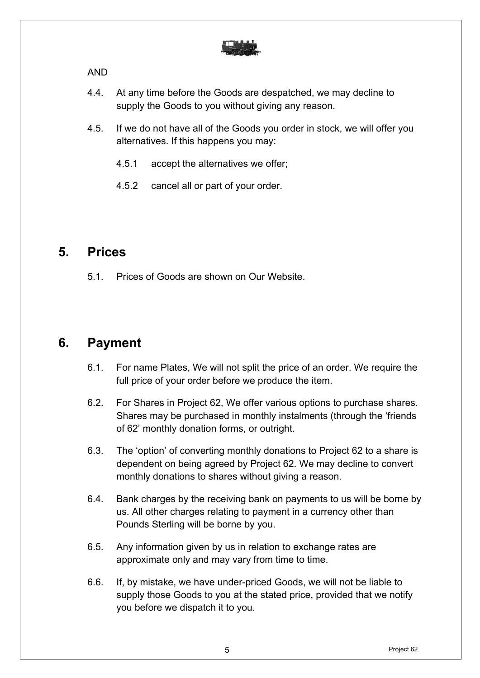

AND

- 4.4. At any time before the Goods are despatched, we may decline to supply the Goods to you without giving any reason.
- 4.5. If we do not have all of the Goods you order in stock, we will offer you alternatives. If this happens you may:
	- 4.5.1 accept the alternatives we offer;
	- 4.5.2 cancel all or part of your order.

#### **5. Prices**

5.1. Prices of Goods are shown on Our Website.

### **6. Payment**

- 6.1. For name Plates, We will not split the price of an order. We require the full price of your order before we produce the item.
- 6.2. For Shares in Project 62, We offer various options to purchase shares. Shares may be purchased in monthly instalments (through the 'friends of 62' monthly donation forms, or outright.
- 6.3. The 'option' of converting monthly donations to Project 62 to a share is dependent on being agreed by Project 62. We may decline to convert monthly donations to shares without giving a reason.
- 6.4. Bank charges by the receiving bank on payments to us will be borne by us. All other charges relating to payment in a currency other than Pounds Sterling will be borne by you.
- 6.5. Any information given by us in relation to exchange rates are approximate only and may vary from time to time.
- 6.6. If, by mistake, we have under-priced Goods, we will not be liable to supply those Goods to you at the stated price, provided that we notify you before we dispatch it to you.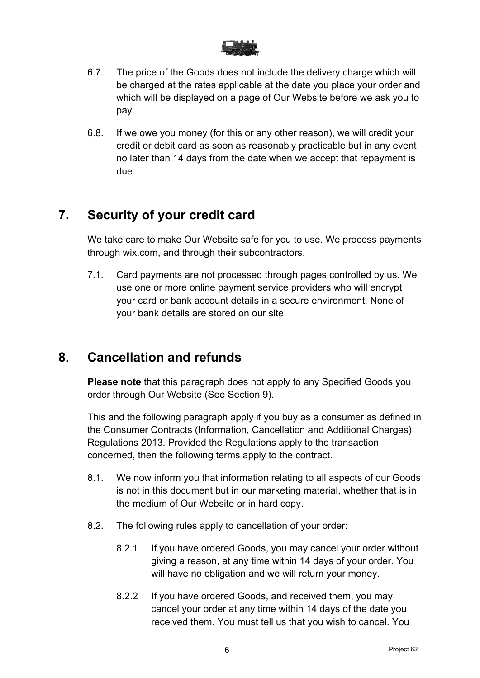

- 6.7. The price of the Goods does not include the delivery charge which will be charged at the rates applicable at the date you place your order and which will be displayed on a page of Our Website before we ask you to pay.
- 6.8. If we owe you money (for this or any other reason), we will credit your credit or debit card as soon as reasonably practicable but in any event no later than 14 days from the date when we accept that repayment is due.

## **7. Security of your credit card**

We take care to make Our Website safe for you to use. We process payments through wix.com, and through their subcontractors.

7.1. Card payments are not processed through pages controlled by us. We use one or more online payment service providers who will encrypt your card or bank account details in a secure environment. None of your bank details are stored on our site.

## **8. Cancellation and refunds**

**Please note** that this paragraph does not apply to any Specified Goods you order through Our Website (See Section 9).

This and the following paragraph apply if you buy as a consumer as defined in the Consumer Contracts (Information, Cancellation and Additional Charges) Regulations 2013. Provided the Regulations apply to the transaction concerned, then the following terms apply to the contract.

- 8.1. We now inform you that information relating to all aspects of our Goods is not in this document but in our marketing material, whether that is in the medium of Our Website or in hard copy.
- 8.2. The following rules apply to cancellation of your order:
	- 8.2.1 If you have ordered Goods, you may cancel your order without giving a reason, at any time within 14 days of your order. You will have no obligation and we will return your money.
	- 8.2.2 If you have ordered Goods, and received them, you may cancel your order at any time within 14 days of the date you received them. You must tell us that you wish to cancel. You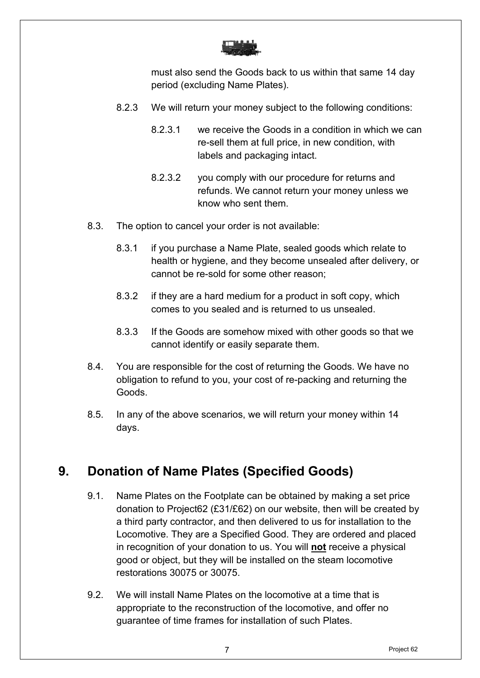

must also send the Goods back to us within that same 14 day period (excluding Name Plates).

- 8.2.3 We will return your money subject to the following conditions:
	- 8.2.3.1 we receive the Goods in a condition in which we can re-sell them at full price, in new condition, with labels and packaging intact.
	- 8.2.3.2 you comply with our procedure for returns and refunds. We cannot return your money unless we know who sent them.
- 8.3. The option to cancel your order is not available:
	- 8.3.1 if you purchase a Name Plate, sealed goods which relate to health or hygiene, and they become unsealed after delivery, or cannot be re-sold for some other reason;
	- 8.3.2 if they are a hard medium for a product in soft copy, which comes to you sealed and is returned to us unsealed.
	- 8.3.3 If the Goods are somehow mixed with other goods so that we cannot identify or easily separate them.
- 8.4. You are responsible for the cost of returning the Goods. We have no obligation to refund to you, your cost of re-packing and returning the Goods.
- 8.5. In any of the above scenarios, we will return your money within 14 days.

# **9. Donation of Name Plates (Specified Goods)**

- 9.1. Name Plates on the Footplate can be obtained by making a set price donation to Project62 (£31/£62) on our website, then will be created by a third party contractor, and then delivered to us for installation to the Locomotive. They are a Specified Good. They are ordered and placed in recognition of your donation to us. You will **not** receive a physical good or object, but they will be installed on the steam locomotive restorations 30075 or 30075.
- 9.2. We will install Name Plates on the locomotive at a time that is appropriate to the reconstruction of the locomotive, and offer no guarantee of time frames for installation of such Plates.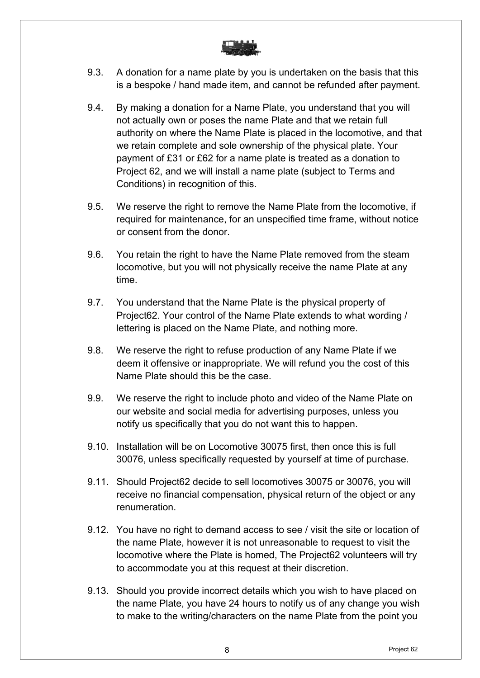

- 9.3. A donation for a name plate by you is undertaken on the basis that this is a bespoke / hand made item, and cannot be refunded after payment.
- 9.4. By making a donation for a Name Plate, you understand that you will not actually own or poses the name Plate and that we retain full authority on where the Name Plate is placed in the locomotive, and that we retain complete and sole ownership of the physical plate. Your payment of £31 or £62 for a name plate is treated as a donation to Project 62, and we will install a name plate (subject to Terms and Conditions) in recognition of this.
- 9.5. We reserve the right to remove the Name Plate from the locomotive, if required for maintenance, for an unspecified time frame, without notice or consent from the donor.
- 9.6. You retain the right to have the Name Plate removed from the steam locomotive, but you will not physically receive the name Plate at any time.
- 9.7. You understand that the Name Plate is the physical property of Project62. Your control of the Name Plate extends to what wording / lettering is placed on the Name Plate, and nothing more.
- 9.8. We reserve the right to refuse production of any Name Plate if we deem it offensive or inappropriate. We will refund you the cost of this Name Plate should this be the case.
- 9.9. We reserve the right to include photo and video of the Name Plate on our website and social media for advertising purposes, unless you notify us specifically that you do not want this to happen.
- 9.10. Installation will be on Locomotive 30075 first, then once this is full 30076, unless specifically requested by yourself at time of purchase.
- 9.11. Should Project62 decide to sell locomotives 30075 or 30076, you will receive no financial compensation, physical return of the object or any renumeration.
- 9.12. You have no right to demand access to see / visit the site or location of the name Plate, however it is not unreasonable to request to visit the locomotive where the Plate is homed, The Project62 volunteers will try to accommodate you at this request at their discretion.
- 9.13. Should you provide incorrect details which you wish to have placed on the name Plate, you have 24 hours to notify us of any change you wish to make to the writing/characters on the name Plate from the point you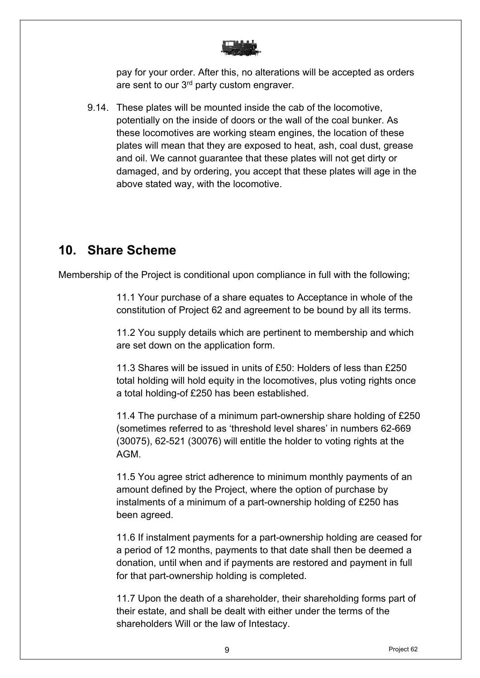

pay for your order. After this, no alterations will be accepted as orders are sent to our 3<sup>rd</sup> party custom engraver.

9.14. These plates will be mounted inside the cab of the locomotive, potentially on the inside of doors or the wall of the coal bunker. As these locomotives are working steam engines, the location of these plates will mean that they are exposed to heat, ash, coal dust, grease and oil. We cannot guarantee that these plates will not get dirty or damaged, and by ordering, you accept that these plates will age in the above stated way, with the locomotive.

## **10. Share Scheme**

Membership of the Project is conditional upon compliance in full with the following;

11.1 Your purchase of a share equates to Acceptance in whole of the constitution of Project 62 and agreement to be bound by all its terms.

11.2 You supply details which are pertinent to membership and which are set down on the application form.

11.3 Shares will be issued in units of £50: Holders of less than £250 total holding will hold equity in the locomotives, plus voting rights once a total holding-of £250 has been established.

11.4 The purchase of a minimum part-ownership share holding of £250 (sometimes referred to as 'threshold level shares' in numbers 62-669 (30075), 62-521 (30076) will entitle the holder to voting rights at the AGM.

11.5 You agree strict adherence to minimum monthly payments of an amount defined by the Project, where the option of purchase by instalments of a minimum of a part-ownership holding of £250 has been agreed.

11.6 If instalment payments for a part-ownership holding are ceased for a period of 12 months, payments to that date shall then be deemed a donation, until when and if payments are restored and payment in full for that part-ownership holding is completed.

11.7 Upon the death of a shareholder, their shareholding forms part of their estate, and shall be dealt with either under the terms of the shareholders Will or the law of Intestacy.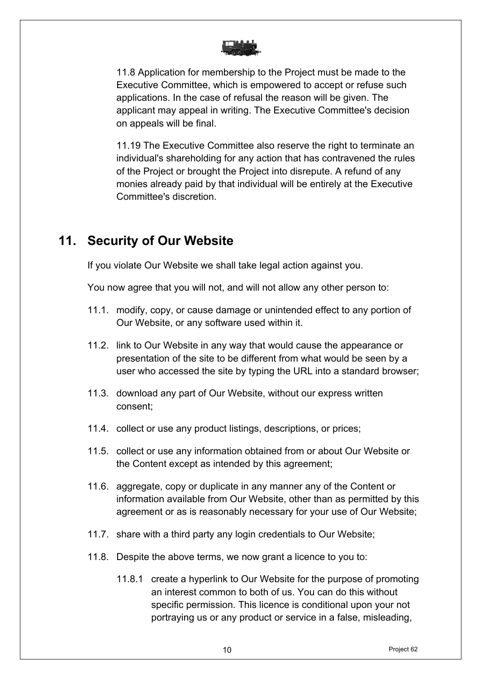

11.8 Application for membership to the Project must be made to the Executive Committee, which is empowered to accept or refuse such applications. In the case of refusal the reason will be given. The applicant may appeal in writing. The Executive Committee's decision on appeals will be final.

11.19 The Executive Committee also reserve the right to terminate an individual's shareholding for any action that has contravened the rules of the Project or brought the Project into disrepute. A refund of any monies already paid by that individual will be entirely at the Executive Committee's discretion.

### **11. Security of Our Website**

If you violate Our Website we shall take legal action against you.

You now agree that you will not, and will not allow any other person to:

- 11.1. modify, copy, or cause damage or unintended effect to any portion of Our Website, or any software used within it.
- 11.2. link to Our Website in any way that would cause the appearance or presentation of the site to be different from what would be seen by a user who accessed the site by typing the URL into a standard browser;
- 11.3. download any part of Our Website, without our express written consent;
- 11.4. collect or use any product listings, descriptions, or prices;
- 11.5. collect or use any information obtained from or about Our Website or the Content except as intended by this agreement;
- 11.6. aggregate, copy or duplicate in any manner any of the Content or information available from Our Website, other than as permitted by this agreement or as is reasonably necessary for your use of Our Website;
- 11.7. share with a third party any login credentials to Our Website;
- 11.8. Despite the above terms, we now grant a licence to you to:
	- 11.8.1 create a hyperlink to Our Website for the purpose of promoting an interest common to both of us. You can do this without specific permission. This licence is conditional upon your not portraying us or any product or service in a false, misleading,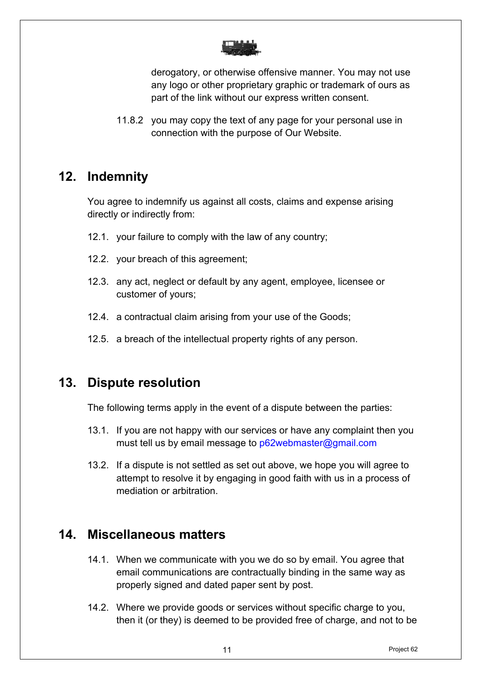

derogatory, or otherwise offensive manner. You may not use any logo or other proprietary graphic or trademark of ours as part of the link without our express written consent.

11.8.2 you may copy the text of any page for your personal use in connection with the purpose of Our Website.

## **12. Indemnity**

You agree to indemnify us against all costs, claims and expense arising directly or indirectly from:

- 12.1. your failure to comply with the law of any country;
- 12.2. your breach of this agreement;
- 12.3. any act, neglect or default by any agent, employee, licensee or customer of yours;
- 12.4. a contractual claim arising from your use of the Goods;
- 12.5. a breach of the intellectual property rights of any person.

### **13. Dispute resolution**

The following terms apply in the event of a dispute between the parties:

- 13.1. If you are not happy with our services or have any complaint then you must tell us by email message to p62webmaster@gmail.com
- 13.2. If a dispute is not settled as set out above, we hope you will agree to attempt to resolve it by engaging in good faith with us in a process of mediation or arbitration.

### **14. Miscellaneous matters**

- 14.1. When we communicate with you we do so by email. You agree that email communications are contractually binding in the same way as properly signed and dated paper sent by post.
- 14.2. Where we provide goods or services without specific charge to you, then it (or they) is deemed to be provided free of charge, and not to be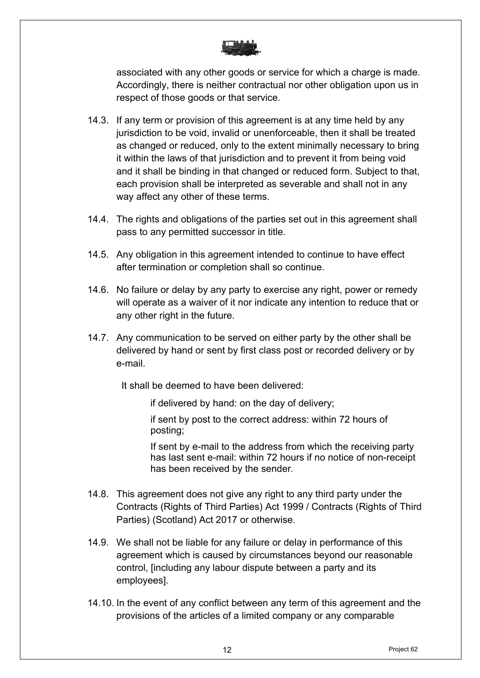

associated with any other goods or service for which a charge is made. Accordingly, there is neither contractual nor other obligation upon us in respect of those goods or that service.

- 14.3. If any term or provision of this agreement is at any time held by any jurisdiction to be void, invalid or unenforceable, then it shall be treated as changed or reduced, only to the extent minimally necessary to bring it within the laws of that jurisdiction and to prevent it from being void and it shall be binding in that changed or reduced form. Subject to that, each provision shall be interpreted as severable and shall not in any way affect any other of these terms.
- 14.4. The rights and obligations of the parties set out in this agreement shall pass to any permitted successor in title.
- 14.5. Any obligation in this agreement intended to continue to have effect after termination or completion shall so continue.
- 14.6. No failure or delay by any party to exercise any right, power or remedy will operate as a waiver of it nor indicate any intention to reduce that or any other right in the future.
- 14.7. Any communication to be served on either party by the other shall be delivered by hand or sent by first class post or recorded delivery or by e-mail.

It shall be deemed to have been delivered:

if delivered by hand: on the day of delivery;

if sent by post to the correct address: within 72 hours of posting;

If sent by e-mail to the address from which the receiving party has last sent e-mail: within 72 hours if no notice of non-receipt has been received by the sender*.* 

- 14.8. This agreement does not give any right to any third party under the Contracts (Rights of Third Parties) Act 1999 / Contracts (Rights of Third Parties) (Scotland) Act 2017 or otherwise.
- 14.9. We shall not be liable for any failure or delay in performance of this agreement which is caused by circumstances beyond our reasonable control, [including any labour dispute between a party and its employees].
- 14.10. In the event of any conflict between any term of this agreement and the provisions of the articles of a limited company or any comparable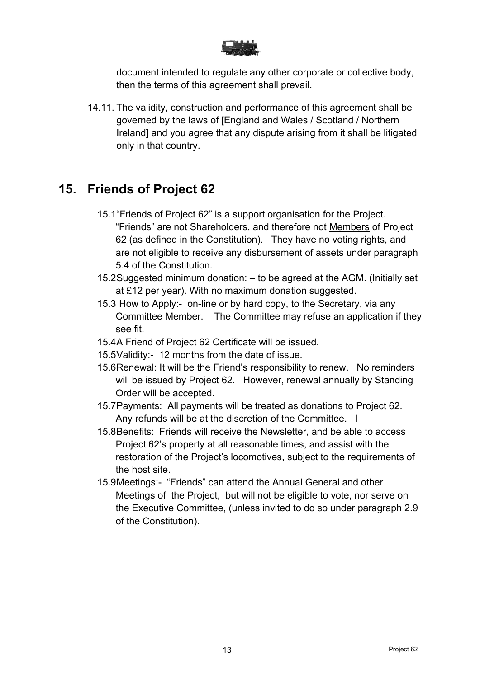

document intended to regulate any other corporate or collective body, then the terms of this agreement shall prevail.

14.11. The validity, construction and performance of this agreement shall be governed by the laws of [England and Wales / Scotland / Northern Ireland] and you agree that any dispute arising from it shall be litigated only in that country.

## **15. Friends of Project 62**

- 15.1"Friends of Project 62" is a support organisation for the Project. "Friends" are not Shareholders, and therefore not Members of Project 62 (as defined in the Constitution). They have no voting rights, and are not eligible to receive any disbursement of assets under paragraph 5.4 of the Constitution.
- 15.2Suggested minimum donation: to be agreed at the AGM. (Initially set at £12 per year). With no maximum donation suggested.
- 15.3 How to Apply:- on-line or by hard copy, to the Secretary, via any Committee Member. The Committee may refuse an application if they see fit.
- 15.4A Friend of Project 62 Certificate will be issued.
- 15.5Validity:- 12 months from the date of issue.
- 15.6Renewal: It will be the Friend's responsibility to renew. No reminders will be issued by Project 62. However, renewal annually by Standing Order will be accepted.
- 15.7Payments: All payments will be treated as donations to Project 62. Any refunds will be at the discretion of the Committee. I
- 15.8Benefits: Friends will receive the Newsletter, and be able to access Project 62's property at all reasonable times, and assist with the restoration of the Project's locomotives, subject to the requirements of the host site.
- 15.9Meetings:- "Friends" can attend the Annual General and other Meetings of the Project, but will not be eligible to vote, nor serve on the Executive Committee, (unless invited to do so under paragraph 2.9 of the Constitution).